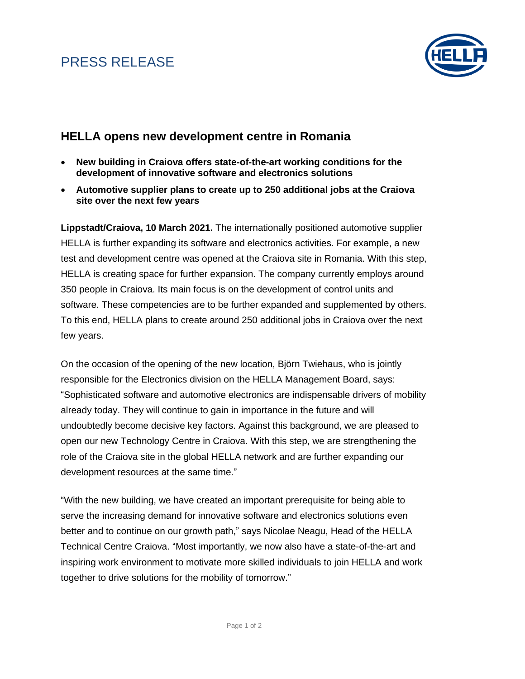# PRESS RELEASE



### **HELLA opens new development centre in Romania**

- **New building in Craiova offers state-of-the-art working conditions for the development of innovative software and electronics solutions**
- **Automotive supplier plans to create up to 250 additional jobs at the Craiova site over the next few years**

**Lippstadt/Craiova, 10 March 2021.** The internationally positioned automotive supplier HELLA is further expanding its software and electronics activities. For example, a new test and development centre was opened at the Craiova site in Romania. With this step, HELLA is creating space for further expansion. The company currently employs around 350 people in Craiova. Its main focus is on the development of control units and software. These competencies are to be further expanded and supplemented by others. To this end, HELLA plans to create around 250 additional jobs in Craiova over the next few years.

On the occasion of the opening of the new location, Björn Twiehaus, who is jointly responsible for the Electronics division on the HELLA Management Board, says: "Sophisticated software and automotive electronics are indispensable drivers of mobility already today. They will continue to gain in importance in the future and will undoubtedly become decisive key factors. Against this background, we are pleased to open our new Technology Centre in Craiova. With this step, we are strengthening the role of the Craiova site in the global HELLA network and are further expanding our development resources at the same time."

"With the new building, we have created an important prerequisite for being able to serve the increasing demand for innovative software and electronics solutions even better and to continue on our growth path," says Nicolae Neagu, Head of the HELLA Technical Centre Craiova. "Most importantly, we now also have a state-of-the-art and inspiring work environment to motivate more skilled individuals to join HELLA and work together to drive solutions for the mobility of tomorrow."